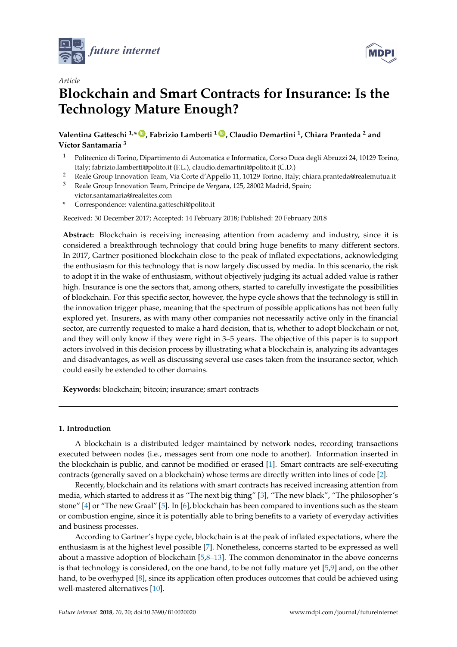

*Article*



# **Blockchain and Smart Contracts for Insurance: Is the Technology Mature Enough?**

**Valentina Gatteschi 1,\* [ID](https://orcid.org/0000-0001-6075-6430) , Fabrizio Lamberti <sup>1</sup> [ID](https://orcid.org/0000-0001-7703-1372) , Claudio Demartini <sup>1</sup> , Chiara Pranteda <sup>2</sup> and Víctor Santamaría 3**

- <sup>1</sup> Politecnico di Torino, Dipartimento di Automatica e Informatica, Corso Duca degli Abruzzi 24, 10129 Torino, Italy; fabrizio.lamberti@polito.it (F.L.), claudio.demartini@polito.it (C.D.)
- <sup>2</sup> Reale Group Innovation Team, Via Corte d'Appello 11, 10129 Torino, Italy; chiara.pranteda@realemutua.it
- <sup>3</sup> Reale Group Innovation Team, Príncipe de Vergara, 125, 28002 Madrid, Spain; victor.santamaria@realeites.com
- **\*** Correspondence: valentina.gatteschi@polito.it

Received: 30 December 2017; Accepted: 14 February 2018; Published: 20 February 2018

**Abstract:** Blockchain is receiving increasing attention from academy and industry, since it is considered a breakthrough technology that could bring huge benefits to many different sectors. In 2017, Gartner positioned blockchain close to the peak of inflated expectations, acknowledging the enthusiasm for this technology that is now largely discussed by media. In this scenario, the risk to adopt it in the wake of enthusiasm, without objectively judging its actual added value is rather high. Insurance is one the sectors that, among others, started to carefully investigate the possibilities of blockchain. For this specific sector, however, the hype cycle shows that the technology is still in the innovation trigger phase, meaning that the spectrum of possible applications has not been fully explored yet. Insurers, as with many other companies not necessarily active only in the financial sector, are currently requested to make a hard decision, that is, whether to adopt blockchain or not, and they will only know if they were right in 3–5 years. The objective of this paper is to support actors involved in this decision process by illustrating what a blockchain is, analyzing its advantages and disadvantages, as well as discussing several use cases taken from the insurance sector, which could easily be extended to other domains.

**Keywords:** blockchain; bitcoin; insurance; smart contracts

## **1. Introduction**

A blockchain is a distributed ledger maintained by network nodes, recording transactions executed between nodes (i.e., messages sent from one node to another). Information inserted in the blockchain is public, and cannot be modified or erased [\[1\]](#page-12-0). Smart contracts are self-executing contracts (generally saved on a blockchain) whose terms are directly written into lines of code [\[2\]](#page-12-1).

Recently, blockchain and its relations with smart contracts has received increasing attention from media, which started to address it as "The next big thing" [\[3\]](#page-12-2), "The new black", "The philosopher's stone" [\[4\]](#page-13-0) or "The new Graal" [\[5\]](#page-13-1). In [\[6\]](#page-13-2), blockchain has been compared to inventions such as the steam or combustion engine, since it is potentially able to bring benefits to a variety of everyday activities and business processes.

According to Gartner's hype cycle, blockchain is at the peak of inflated expectations, where the enthusiasm is at the highest level possible [\[7\]](#page-13-3). Nonetheless, concerns started to be expressed as well about a massive adoption of blockchain [\[5](#page-13-1)[,8–](#page-13-4)[13\]](#page-13-5). The common denominator in the above concerns is that technology is considered, on the one hand, to be not fully mature yet [\[5,](#page-13-1)[9\]](#page-13-6) and, on the other hand, to be overhyped [\[8\]](#page-13-4), since its application often produces outcomes that could be achieved using well-mastered alternatives [\[10\]](#page-13-7).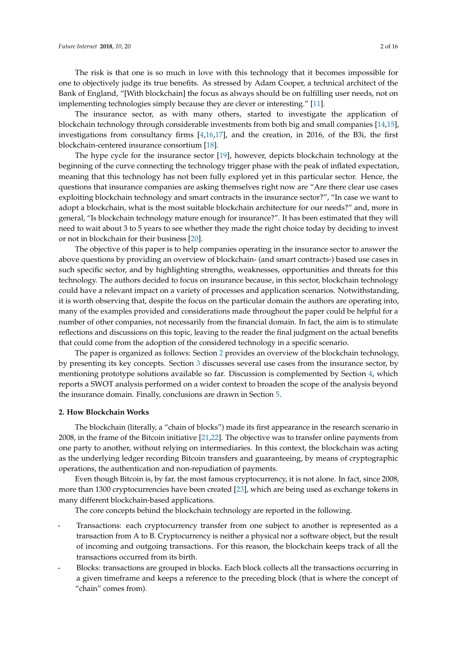The risk is that one is so much in love with this technology that it becomes impossible for one to objectively judge its true benefits. As stressed by Adam Cooper, a technical architect of the Bank of England, "[With blockchain] the focus as always should be on fulfilling user needs, not on implementing technologies simply because they are clever or interesting." [\[11\]](#page-13-8).

The insurance sector, as with many others, started to investigate the application of blockchain technology through considerable investments from both big and small companies [\[14,](#page-13-9)[15\]](#page-13-10), investigations from consultancy firms [\[4](#page-13-0)[,16,](#page-13-11)[17\]](#page-13-12), and the creation, in 2016, of the B3i, the first blockchain-centered insurance consortium [\[18\]](#page-13-13).

The hype cycle for the insurance sector [\[19\]](#page-13-14), however, depicts blockchain technology at the beginning of the curve connecting the technology trigger phase with the peak of inflated expectation, meaning that this technology has not been fully explored yet in this particular sector. Hence, the questions that insurance companies are asking themselves right now are "Are there clear use cases exploiting blockchain technology and smart contracts in the insurance sector?", "In case we want to adopt a blockchain, what is the most suitable blockchain architecture for our needs?" and, more in general, "Is blockchain technology mature enough for insurance?". It has been estimated that they will need to wait about 3 to 5 years to see whether they made the right choice today by deciding to invest or not in blockchain for their business [\[20\]](#page-13-15).

The objective of this paper is to help companies operating in the insurance sector to answer the above questions by providing an overview of blockchain- (and smart contracts-) based use cases in such specific sector, and by highlighting strengths, weaknesses, opportunities and threats for this technology. The authors decided to focus on insurance because, in this sector, blockchain technology could have a relevant impact on a variety of processes and application scenarios. Notwithstanding, it is worth observing that, despite the focus on the particular domain the authors are operating into, many of the examples provided and considerations made throughout the paper could be helpful for a number of other companies, not necessarily from the financial domain. In fact, the aim is to stimulate reflections and discussions on this topic, leaving to the reader the final judgment on the actual benefits that could come from the adoption of the considered technology in a specific scenario.

The paper is organized as follows: Section [2](#page-1-0) provides an overview of the blockchain technology, by presenting its key concepts. Section [3](#page-5-0) discusses several use cases from the insurance sector, by mentioning prototype solutions available so far. Discussion is complemented by Section [4,](#page-8-0) which reports a SWOT analysis performed on a wider context to broaden the scope of the analysis beyond the insurance domain. Finally, conclusions are drawn in Section [5.](#page-11-0)

#### <span id="page-1-0"></span>**2. How Blockchain Works**

The blockchain (literally, a "chain of blocks") made its first appearance in the research scenario in 2008, in the frame of the Bitcoin initiative [\[21](#page-13-16)[,22\]](#page-13-17). The objective was to transfer online payments from one party to another, without relying on intermediaries. In this context, the blockchain was acting as the underlying ledger recording Bitcoin transfers and guaranteeing, by means of cryptographic operations, the authentication and non-repudiation of payments.

Even though Bitcoin is, by far, the most famous cryptocurrency, it is not alone. In fact, since 2008, more than 1300 cryptocurrencies have been created [\[23\]](#page-13-18), which are being used as exchange tokens in many different blockchain-based applications.

The core concepts behind the blockchain technology are reported in the following.

- Transactions: each cryptocurrency transfer from one subject to another is represented as a transaction from A to B. Cryptocurrency is neither a physical nor a software object, but the result of incoming and outgoing transactions. For this reason, the blockchain keeps track of all the transactions occurred from its birth.
- Blocks: transactions are grouped in blocks. Each block collects all the transactions occurring in a given timeframe and keeps a reference to the preceding block (that is where the concept of "chain" comes from).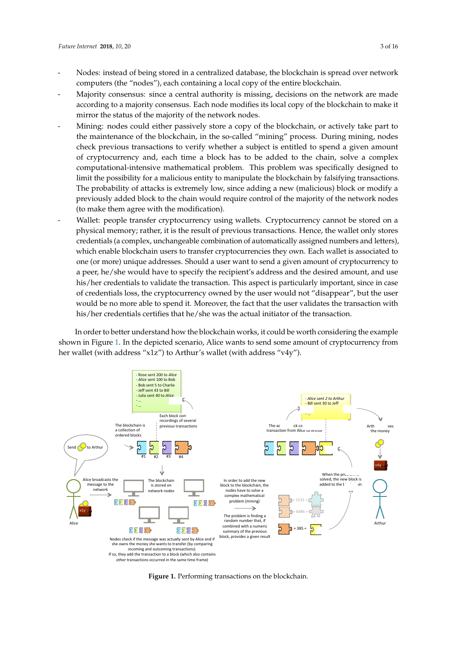- Nodes: instead of being stored in a centralized database, the blockchain is spread over network ‐ Nodes: instead of being stored in a centralized database, the blockchain is spread over network computers (the "nodes"), each containing a local copy of the entire blockchain. computers (the "nodes"), each containing a local copy of the entire blockchain.
- Majority consensus: since a central authority is missing, decisions on the network are made ‐ Majority consensus: since a central authority is missing, decisions on the network are made according to a majority consensus. Each node modifies its local copy of the blockchain to make it according to a majority consensus. Each node modifies its local copy of the blockchain to make mirror the status of the majority of the network nodes.
- Mining: nodes could either passively store a copy of the blockchain, or actively take part to ‐ Mining: nodes could either passively store a copy of the blockchain, or actively take part to the the maintenance of the blockchain, in the so-called "mining" process. During mining, nodes check previous transactions to verify whether a subject is entitled to spend a given amount of cryptocurrency and, each time a block has to be added to the chain, solve a complex cryptocurrency and, each time a block has to be added to the chain, solve a complex computational-intensive mathematical problem. This problem was specifically designed to computational‐intensive mathematical problem. This problem was specifically designed to limit limit the possibility for a malicious entity to manipulate the blockchain by falsifying transactions. The probability of attacks is extremely low, since adding a new (malicious) block or modify a probability of attacks is extremely low, since adding a new (malicious) block or modify a previously added block to the chain would require control of the majority of the network nodes previously added block to the chain would require control of the majority of the network nodes (to make them agree with the modification). (to make them agree with the modification).
- Wallet: people transfer cryptocurrency using wallets. Cryptocurrency cannot be stored on a ‐ Wallet: people transfer cryptocurrency using wallets. Cryptocurrency cannot be stored on a physical memory; rather, it is the result of previous transactions. Hence, the wallet only stores physical memory; rather, it is the result of previous transactions. Hence, the wallet only stores credentials (a complex, unchangeable combination of automatically assigned numbers and letters), credentials (a complex, unchangeable combination of automatically assigned numbers and which enable blockchain users to transfer cryptocurrencies they own. Each wallet is associated to one (or more) unique addresses. Should a user want to send a given amount of cryptocurrency to a peer, he/she would have to specify the recipient's address and the desired amount, and use his/her credentials to validate the transaction. This aspect is particularly important, since in case of credentials loss, the cryptocurrency owned by the user would not "disappear", but the user would be no more able to spend it. Moreover, the fact that the user validates the transaction with his/her credentials certifies that he/she was the actual initiator of the transaction. the transaction.

In order to better understand how the blockchain works, it could be worth considering the example In order to better understand how the blockchain works, it could be worth considering the  $s$ hown in Figure  $1.$  In the depicted scenario, Alice wants to send some amount of cryptocurrency from her wallet (with address "x1z") to Arthur's wallet (with address "v4y").

<span id="page-2-0"></span>

**Figure 1.** Performing transactions on the blockchain. **Figure 1.** Performing transactions on the blockchain.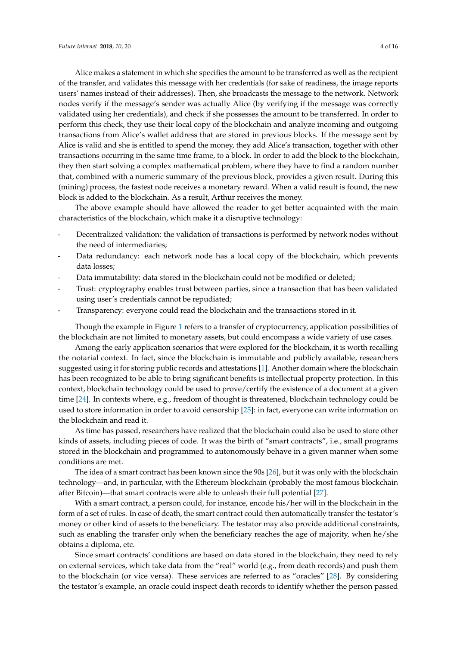Alice makes a statement in which she specifies the amount to be transferred as well as the recipient of the transfer, and validates this message with her credentials (for sake of readiness, the image reports users' names instead of their addresses). Then, she broadcasts the message to the network. Network nodes verify if the message's sender was actually Alice (by verifying if the message was correctly validated using her credentials), and check if she possesses the amount to be transferred. In order to perform this check, they use their local copy of the blockchain and analyze incoming and outgoing transactions from Alice's wallet address that are stored in previous blocks. If the message sent by Alice is valid and she is entitled to spend the money, they add Alice's transaction, together with other transactions occurring in the same time frame, to a block. In order to add the block to the blockchain, they then start solving a complex mathematical problem, where they have to find a random number that, combined with a numeric summary of the previous block, provides a given result. During this (mining) process, the fastest node receives a monetary reward. When a valid result is found, the new block is added to the blockchain. As a result, Arthur receives the money.

The above example should have allowed the reader to get better acquainted with the main characteristics of the blockchain, which make it a disruptive technology:

- Decentralized validation: the validation of transactions is performed by network nodes without the need of intermediaries;
- Data redundancy: each network node has a local copy of the blockchain, which prevents data losses;
- Data immutability: data stored in the blockchain could not be modified or deleted;
- Trust: cryptography enables trust between parties, since a transaction that has been validated using user's credentials cannot be repudiated;
- Transparency: everyone could read the blockchain and the transactions stored in it.

Though the example in Figure [1](#page-2-0) refers to a transfer of cryptocurrency, application possibilities of the blockchain are not limited to monetary assets, but could encompass a wide variety of use cases.

Among the early application scenarios that were explored for the blockchain, it is worth recalling the notarial context. In fact, since the blockchain is immutable and publicly available, researchers suggested using it for storing public records and attestations [\[1\]](#page-12-0). Another domain where the blockchain has been recognized to be able to bring significant benefits is intellectual property protection. In this context, blockchain technology could be used to prove/certify the existence of a document at a given time [\[24\]](#page-13-19). In contexts where, e.g., freedom of thought is threatened, blockchain technology could be used to store information in order to avoid censorship [\[25\]](#page-13-20): in fact, everyone can write information on the blockchain and read it.

As time has passed, researchers have realized that the blockchain could also be used to store other kinds of assets, including pieces of code. It was the birth of "smart contracts", i.e., small programs stored in the blockchain and programmed to autonomously behave in a given manner when some conditions are met.

The idea of a smart contract has been known since the 90s [\[26\]](#page-13-21), but it was only with the blockchain technology—and, in particular, with the Ethereum blockchain (probably the most famous blockchain after Bitcoin)—that smart contracts were able to unleash their full potential [\[27\]](#page-13-22).

With a smart contract, a person could, for instance, encode his/her will in the blockchain in the form of a set of rules. In case of death, the smart contract could then automatically transfer the testator's money or other kind of assets to the beneficiary. The testator may also provide additional constraints, such as enabling the transfer only when the beneficiary reaches the age of majority, when he/she obtains a diploma, etc.

Since smart contracts' conditions are based on data stored in the blockchain, they need to rely on external services, which take data from the "real" world (e.g., from death records) and push them to the blockchain (or vice versa). These services are referred to as "oracles" [\[28\]](#page-14-0). By considering the testator's example, an oracle could inspect death records to identify whether the person passed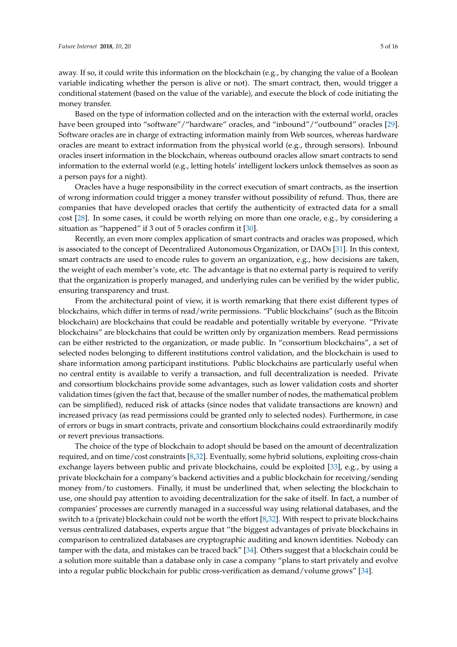away. If so, it could write this information on the blockchain (e.g., by changing the value of a Boolean variable indicating whether the person is alive or not). The smart contract, then, would trigger a conditional statement (based on the value of the variable), and execute the block of code initiating the money transfer.

Based on the type of information collected and on the interaction with the external world, oracles have been grouped into "software"/"hardware" oracles, and "inbound"/"outbound" oracles [\[29\]](#page-14-1). Software oracles are in charge of extracting information mainly from Web sources, whereas hardware oracles are meant to extract information from the physical world (e.g., through sensors). Inbound oracles insert information in the blockchain, whereas outbound oracles allow smart contracts to send information to the external world (e.g., letting hotels' intelligent lockers unlock themselves as soon as a person pays for a night).

Oracles have a huge responsibility in the correct execution of smart contracts, as the insertion of wrong information could trigger a money transfer without possibility of refund. Thus, there are companies that have developed oracles that certify the authenticity of extracted data for a small cost [\[28\]](#page-14-0). In some cases, it could be worth relying on more than one oracle, e.g., by considering a situation as "happened" if 3 out of 5 oracles confirm it [\[30\]](#page-14-2).

Recently, an even more complex application of smart contracts and oracles was proposed, which is associated to the concept of Decentralized Autonomous Organization, or DAOs [\[31\]](#page-14-3). In this context, smart contracts are used to encode rules to govern an organization, e.g., how decisions are taken, the weight of each member's vote, etc. The advantage is that no external party is required to verify that the organization is properly managed, and underlying rules can be verified by the wider public, ensuring transparency and trust.

From the architectural point of view, it is worth remarking that there exist different types of blockchains, which differ in terms of read/write permissions. "Public blockchains" (such as the Bitcoin blockchain) are blockchains that could be readable and potentially writable by everyone. "Private blockchains" are blockchains that could be written only by organization members. Read permissions can be either restricted to the organization, or made public. In "consortium blockchains", a set of selected nodes belonging to different institutions control validation, and the blockchain is used to share information among participant institutions. Public blockchains are particularly useful when no central entity is available to verify a transaction, and full decentralization is needed. Private and consortium blockchains provide some advantages, such as lower validation costs and shorter validation times (given the fact that, because of the smaller number of nodes, the mathematical problem can be simplified), reduced risk of attacks (since nodes that validate transactions are known) and increased privacy (as read permissions could be granted only to selected nodes). Furthermore, in case of errors or bugs in smart contracts, private and consortium blockchains could extraordinarily modify or revert previous transactions.

The choice of the type of blockchain to adopt should be based on the amount of decentralization required, and on time/cost constraints [\[8](#page-13-4)[,32\]](#page-14-4). Eventually, some hybrid solutions, exploiting cross-chain exchange layers between public and private blockchains, could be exploited [\[33\]](#page-14-5), e.g., by using a private blockchain for a company's backend activities and a public blockchain for receiving/sending money from/to customers. Finally, it must be underlined that, when selecting the blockchain to use, one should pay attention to avoiding decentralization for the sake of itself. In fact, a number of companies' processes are currently managed in a successful way using relational databases, and the switch to a (private) blockchain could not be worth the effort [\[8](#page-13-4)[,32\]](#page-14-4). With respect to private blockchains versus centralized databases, experts argue that "the biggest advantages of private blockchains in comparison to centralized databases are cryptographic auditing and known identities. Nobody can tamper with the data, and mistakes can be traced back" [\[34\]](#page-14-6). Others suggest that a blockchain could be a solution more suitable than a database only in case a company "plans to start privately and evolve into a regular public blockchain for public cross-verification as demand/volume grows" [\[34\]](#page-14-6).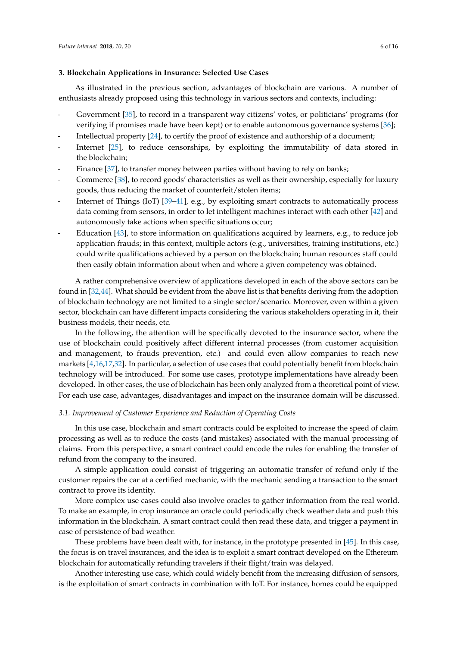## <span id="page-5-0"></span>**3. Blockchain Applications in Insurance: Selected Use Cases**

As illustrated in the previous section, advantages of blockchain are various. A number of enthusiasts already proposed using this technology in various sectors and contexts, including:

- Government [\[35\]](#page-14-7), to record in a transparent way citizens' votes, or politicians' programs (for verifying if promises made have been kept) or to enable autonomous governance systems [\[36\]](#page-14-8);
- Intellectual property [\[24\]](#page-13-19), to certify the proof of existence and authorship of a document;
- Internet [\[25\]](#page-13-20), to reduce censorships, by exploiting the immutability of data stored in the blockchain;
- Finance [\[37\]](#page-14-9), to transfer money between parties without having to rely on banks;
- Commerce [\[38\]](#page-14-10), to record goods' characteristics as well as their ownership, especially for luxury goods, thus reducing the market of counterfeit/stolen items;
- Internet of Things (IoT)  $[39-41]$  $[39-41]$ , e.g., by exploiting smart contracts to automatically process data coming from sensors, in order to let intelligent machines interact with each other [\[42\]](#page-14-13) and autonomously take actions when specific situations occur;
- Education [\[43\]](#page-14-14), to store information on qualifications acquired by learners, e.g., to reduce job application frauds; in this context, multiple actors (e.g., universities, training institutions, etc.) could write qualifications achieved by a person on the blockchain; human resources staff could then easily obtain information about when and where a given competency was obtained.

A rather comprehensive overview of applications developed in each of the above sectors can be found in [\[32](#page-14-4)[,44\]](#page-14-15). What should be evident from the above list is that benefits deriving from the adoption of blockchain technology are not limited to a single sector/scenario. Moreover, even within a given sector, blockchain can have different impacts considering the various stakeholders operating in it, their business models, their needs, etc.

In the following, the attention will be specifically devoted to the insurance sector, where the use of blockchain could positively affect different internal processes (from customer acquisition and management, to frauds prevention, etc.) and could even allow companies to reach new markets [\[4,](#page-13-0)[16,](#page-13-11)[17,](#page-13-12)[32\]](#page-14-4). In particular, a selection of use cases that could potentially benefit from blockchain technology will be introduced. For some use cases, prototype implementations have already been developed. In other cases, the use of blockchain has been only analyzed from a theoretical point of view. For each use case, advantages, disadvantages and impact on the insurance domain will be discussed.

#### *3.1. Improvement of Customer Experience and Reduction of Operating Costs*

In this use case, blockchain and smart contracts could be exploited to increase the speed of claim processing as well as to reduce the costs (and mistakes) associated with the manual processing of claims. From this perspective, a smart contract could encode the rules for enabling the transfer of refund from the company to the insured.

A simple application could consist of triggering an automatic transfer of refund only if the customer repairs the car at a certified mechanic, with the mechanic sending a transaction to the smart contract to prove its identity.

More complex use cases could also involve oracles to gather information from the real world. To make an example, in crop insurance an oracle could periodically check weather data and push this information in the blockchain. A smart contract could then read these data, and trigger a payment in case of persistence of bad weather.

These problems have been dealt with, for instance, in the prototype presented in [\[45\]](#page-14-16). In this case, the focus is on travel insurances, and the idea is to exploit a smart contract developed on the Ethereum blockchain for automatically refunding travelers if their flight/train was delayed.

Another interesting use case, which could widely benefit from the increasing diffusion of sensors, is the exploitation of smart contracts in combination with IoT. For instance, homes could be equipped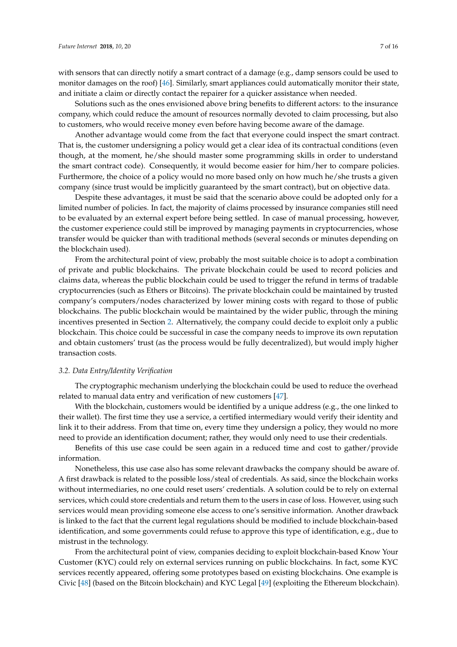Solutions such as the ones envisioned above bring benefits to different actors: to the insurance company, which could reduce the amount of resources normally devoted to claim processing, but also to customers, who would receive money even before having become aware of the damage.

Another advantage would come from the fact that everyone could inspect the smart contract. That is, the customer undersigning a policy would get a clear idea of its contractual conditions (even though, at the moment, he/she should master some programming skills in order to understand the smart contract code). Consequently, it would become easier for him/her to compare policies. Furthermore, the choice of a policy would no more based only on how much he/she trusts a given company (since trust would be implicitly guaranteed by the smart contract), but on objective data.

Despite these advantages, it must be said that the scenario above could be adopted only for a limited number of policies. In fact, the majority of claims processed by insurance companies still need to be evaluated by an external expert before being settled. In case of manual processing, however, the customer experience could still be improved by managing payments in cryptocurrencies, whose transfer would be quicker than with traditional methods (several seconds or minutes depending on the blockchain used).

From the architectural point of view, probably the most suitable choice is to adopt a combination of private and public blockchains. The private blockchain could be used to record policies and claims data, whereas the public blockchain could be used to trigger the refund in terms of tradable cryptocurrencies (such as Ethers or Bitcoins). The private blockchain could be maintained by trusted company's computers/nodes characterized by lower mining costs with regard to those of public blockchains. The public blockchain would be maintained by the wider public, through the mining incentives presented in Section [2.](#page-1-0) Alternatively, the company could decide to exploit only a public blockchain. This choice could be successful in case the company needs to improve its own reputation and obtain customers' trust (as the process would be fully decentralized), but would imply higher transaction costs.

# <span id="page-6-0"></span>*3.2. Data Entry/Identity Verification*

The cryptographic mechanism underlying the blockchain could be used to reduce the overhead related to manual data entry and verification of new customers [\[47\]](#page-14-18).

With the blockchain, customers would be identified by a unique address (e.g., the one linked to their wallet). The first time they use a service, a certified intermediary would verify their identity and link it to their address. From that time on, every time they undersign a policy, they would no more need to provide an identification document; rather, they would only need to use their credentials.

Benefits of this use case could be seen again in a reduced time and cost to gather/provide information.

Nonetheless, this use case also has some relevant drawbacks the company should be aware of. A first drawback is related to the possible loss/steal of credentials. As said, since the blockchain works without intermediaries, no one could reset users' credentials. A solution could be to rely on external services, which could store credentials and return them to the users in case of loss. However, using such services would mean providing someone else access to one's sensitive information. Another drawback is linked to the fact that the current legal regulations should be modified to include blockchain-based identification, and some governments could refuse to approve this type of identification, e.g., due to mistrust in the technology.

From the architectural point of view, companies deciding to exploit blockchain-based Know Your Customer (KYC) could rely on external services running on public blockchains. In fact, some KYC services recently appeared, offering some prototypes based on existing blockchains. One example is Civic [\[48\]](#page-14-19) (based on the Bitcoin blockchain) and KYC Legal [\[49\]](#page-14-20) (exploiting the Ethereum blockchain).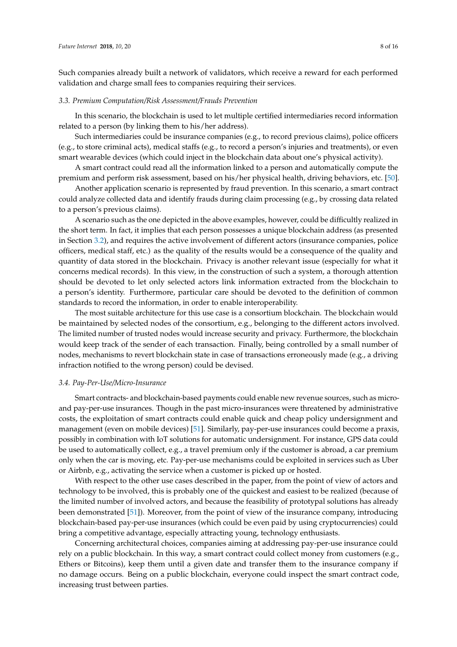Such companies already built a network of validators, which receive a reward for each performed validation and charge small fees to companies requiring their services.

#### *3.3. Premium Computation/Risk Assessment/Frauds Prevention*

In this scenario, the blockchain is used to let multiple certified intermediaries record information related to a person (by linking them to his/her address).

Such intermediaries could be insurance companies (e.g., to record previous claims), police officers (e.g., to store criminal acts), medical staffs (e.g., to record a person's injuries and treatments), or even smart wearable devices (which could inject in the blockchain data about one's physical activity).

A smart contract could read all the information linked to a person and automatically compute the premium and perform risk assessment, based on his/her physical health, driving behaviors, etc. [\[50\]](#page-14-21).

Another application scenario is represented by fraud prevention. In this scenario, a smart contract could analyze collected data and identify frauds during claim processing (e.g., by crossing data related to a person's previous claims).

A scenario such as the one depicted in the above examples, however, could be difficultly realized in the short term. In fact, it implies that each person possesses a unique blockchain address (as presented in Section [3.2\)](#page-6-0), and requires the active involvement of different actors (insurance companies, police officers, medical staff, etc.) as the quality of the results would be a consequence of the quality and quantity of data stored in the blockchain. Privacy is another relevant issue (especially for what it concerns medical records). In this view, in the construction of such a system, a thorough attention should be devoted to let only selected actors link information extracted from the blockchain to a person's identity. Furthermore, particular care should be devoted to the definition of common standards to record the information, in order to enable interoperability.

The most suitable architecture for this use case is a consortium blockchain. The blockchain would be maintained by selected nodes of the consortium, e.g., belonging to the different actors involved. The limited number of trusted nodes would increase security and privacy. Furthermore, the blockchain would keep track of the sender of each transaction. Finally, being controlled by a small number of nodes, mechanisms to revert blockchain state in case of transactions erroneously made (e.g., a driving infraction notified to the wrong person) could be devised.

#### *3.4. Pay-Per-Use/Micro-Insurance*

Smart contracts- and blockchain-based payments could enable new revenue sources, such as microand pay-per-use insurances. Though in the past micro-insurances were threatened by administrative costs, the exploitation of smart contracts could enable quick and cheap policy undersignment and management (even on mobile devices) [\[51\]](#page-14-22). Similarly, pay-per-use insurances could become a praxis, possibly in combination with IoT solutions for automatic undersignment. For instance, GPS data could be used to automatically collect, e.g., a travel premium only if the customer is abroad, a car premium only when the car is moving, etc. Pay-per-use mechanisms could be exploited in services such as Uber or Airbnb, e.g., activating the service when a customer is picked up or hosted.

With respect to the other use cases described in the paper, from the point of view of actors and technology to be involved, this is probably one of the quickest and easiest to be realized (because of the limited number of involved actors, and because the feasibility of prototypal solutions has already been demonstrated [\[51\]](#page-14-22)). Moreover, from the point of view of the insurance company, introducing blockchain-based pay-per-use insurances (which could be even paid by using cryptocurrencies) could bring a competitive advantage, especially attracting young, technology enthusiasts.

Concerning architectural choices, companies aiming at addressing pay-per-use insurance could rely on a public blockchain. In this way, a smart contract could collect money from customers (e.g., Ethers or Bitcoins), keep them until a given date and transfer them to the insurance company if no damage occurs. Being on a public blockchain, everyone could inspect the smart contract code, increasing trust between parties.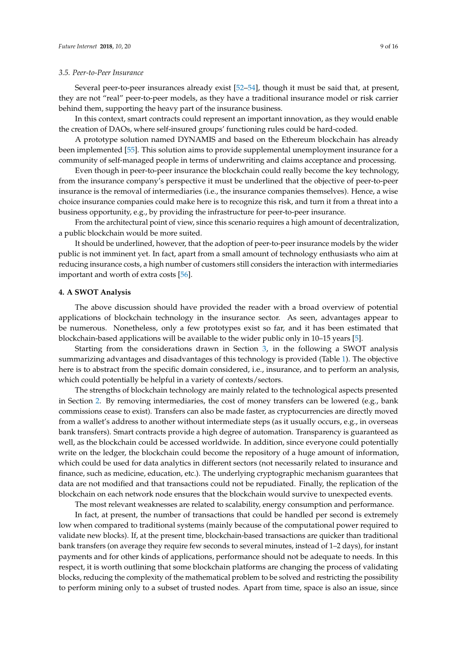#### *3.5. Peer-to-Peer Insurance*

Several peer-to-peer insurances already exist [\[52–](#page-14-23)[54\]](#page-14-24), though it must be said that, at present, they are not "real" peer-to-peer models, as they have a traditional insurance model or risk carrier behind them, supporting the heavy part of the insurance business.

In this context, smart contracts could represent an important innovation, as they would enable the creation of DAOs, where self-insured groups' functioning rules could be hard-coded.

A prototype solution named DYNAMIS and based on the Ethereum blockchain has already been implemented [\[55\]](#page-15-0). This solution aims to provide supplemental unemployment insurance for a community of self-managed people in terms of underwriting and claims acceptance and processing.

Even though in peer-to-peer insurance the blockchain could really become the key technology, from the insurance company's perspective it must be underlined that the objective of peer-to-peer insurance is the removal of intermediaries (i.e., the insurance companies themselves). Hence, a wise choice insurance companies could make here is to recognize this risk, and turn it from a threat into a business opportunity, e.g., by providing the infrastructure for peer-to-peer insurance.

From the architectural point of view, since this scenario requires a high amount of decentralization, a public blockchain would be more suited.

It should be underlined, however, that the adoption of peer-to-peer insurance models by the wider public is not imminent yet. In fact, apart from a small amount of technology enthusiasts who aim at reducing insurance costs, a high number of customers still considers the interaction with intermediaries important and worth of extra costs [\[56\]](#page-15-1).

#### <span id="page-8-0"></span>**4. A SWOT Analysis**

The above discussion should have provided the reader with a broad overview of potential applications of blockchain technology in the insurance sector. As seen, advantages appear to be numerous. Nonetheless, only a few prototypes exist so far, and it has been estimated that blockchain-based applications will be available to the wider public only in 10–15 years [\[5\]](#page-13-1).

Starting from the considerations drawn in Section [3,](#page-5-0) in the following a SWOT analysis summarizing advantages and disadvantages of this technology is provided (Table [1\)](#page-9-0). The objective here is to abstract from the specific domain considered, i.e., insurance, and to perform an analysis, which could potentially be helpful in a variety of contexts/sectors.

The strengths of blockchain technology are mainly related to the technological aspects presented in Section [2.](#page-1-0) By removing intermediaries, the cost of money transfers can be lowered (e.g., bank commissions cease to exist). Transfers can also be made faster, as cryptocurrencies are directly moved from a wallet's address to another without intermediate steps (as it usually occurs, e.g., in overseas bank transfers). Smart contracts provide a high degree of automation. Transparency is guaranteed as well, as the blockchain could be accessed worldwide. In addition, since everyone could potentially write on the ledger, the blockchain could become the repository of a huge amount of information, which could be used for data analytics in different sectors (not necessarily related to insurance and finance, such as medicine, education, etc.). The underlying cryptographic mechanism guarantees that data are not modified and that transactions could not be repudiated. Finally, the replication of the blockchain on each network node ensures that the blockchain would survive to unexpected events.

The most relevant weaknesses are related to scalability, energy consumption and performance.

In fact, at present, the number of transactions that could be handled per second is extremely low when compared to traditional systems (mainly because of the computational power required to validate new blocks). If, at the present time, blockchain-based transactions are quicker than traditional bank transfers (on average they require few seconds to several minutes, instead of 1–2 days), for instant payments and for other kinds of applications, performance should not be adequate to needs. In this respect, it is worth outlining that some blockchain platforms are changing the process of validating blocks, reducing the complexity of the mathematical problem to be solved and restricting the possibility to perform mining only to a subset of trusted nodes. Apart from time, space is also an issue, since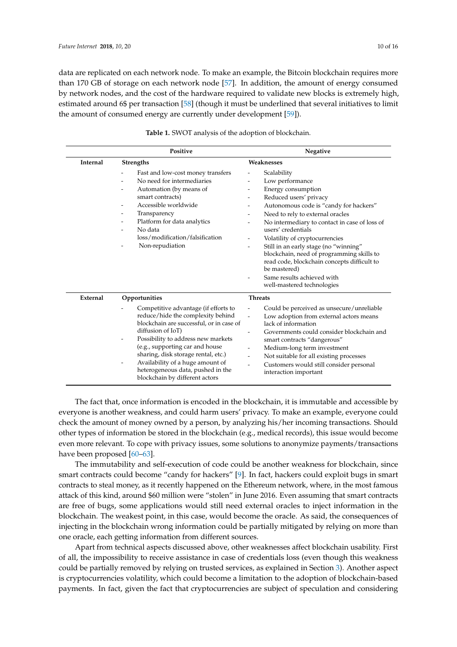data are replicated on each network node. To make an example, the Bitcoin blockchain requires more than 170 GB of storage on each network node [\[57\]](#page-15-2). In addition, the amount of energy consumed by network nodes, and the cost of the hardware required to validate new blocks is extremely high, estimated around 6\$ per transaction [\[58\]](#page-15-3) (though it must be underlined that several initiatives to limit the amount of consumed energy are currently under development [\[59\]](#page-15-4)).

<span id="page-9-0"></span>

|          | Positive                                                                                                                                                                                                                                                                                                                                                                               | Negative                                                                                                                                                                                                                                                                                                                                                                                                                                                                                                                                       |
|----------|----------------------------------------------------------------------------------------------------------------------------------------------------------------------------------------------------------------------------------------------------------------------------------------------------------------------------------------------------------------------------------------|------------------------------------------------------------------------------------------------------------------------------------------------------------------------------------------------------------------------------------------------------------------------------------------------------------------------------------------------------------------------------------------------------------------------------------------------------------------------------------------------------------------------------------------------|
| Internal | <b>Strengths</b>                                                                                                                                                                                                                                                                                                                                                                       | Weaknesses                                                                                                                                                                                                                                                                                                                                                                                                                                                                                                                                     |
|          | Fast and low-cost money transfers<br>$\overline{\phantom{a}}$<br>No need for intermediaries<br>Automation (by means of<br>smart contracts)<br>Accessible worldwide<br>Transparency<br>Platform for data analytics<br>No data<br>loss/modification/falsification<br>Non-repudiation                                                                                                     | Scalability<br>Low performance<br>Energy consumption<br>Reduced users' privacy<br>$\overline{\phantom{0}}$<br>Autonomous code is "candy for hackers"<br>Need to rely to external oracles<br>No intermediary to contact in case of loss of<br>users' credentials<br>Volatility of cryptocurrencies<br>$\overline{\phantom{a}}$<br>Still in an early stage (no "winning"<br>blockchain, need of programming skills to<br>read code, blockchain concepts difficult to<br>be mastered)<br>Same results achieved with<br>well-mastered technologies |
| External | Opportunities<br>Competitive advantage (if efforts to<br>reduce/hide the complexity behind<br>blockchain are successful, or in case of<br>diffusion of IoT)<br>Possibility to address new markets<br>(e.g., supporting car and house<br>sharing, disk storage rental, etc.)<br>Availability of a huge amount of<br>heterogeneous data, pushed in the<br>blockchain by different actors | <b>Threats</b><br>Could be perceived as unsecure/unreliable<br>Low adoption from external actors means<br>$\overline{\phantom{0}}$<br>lack of information<br>Governments could consider blockchain and<br>$\overline{\phantom{a}}$<br>smart contracts "dangerous"<br>Medium-long term investment<br>Not suitable for all existing processes<br>Customers would still consider personal<br>interaction important                                                                                                                                |

**Table 1.** SWOT analysis of the adoption of blockchain.

The fact that, once information is encoded in the blockchain, it is immutable and accessible by everyone is another weakness, and could harm users' privacy. To make an example, everyone could check the amount of money owned by a person, by analyzing his/her incoming transactions. Should other types of information be stored in the blockchain (e.g., medical records), this issue would become even more relevant. To cope with privacy issues, some solutions to anonymize payments/transactions have been proposed [\[60](#page-15-5)[–63\]](#page-15-6).

The immutability and self-execution of code could be another weakness for blockchain, since smart contracts could become "candy for hackers" [\[9\]](#page-13-6). In fact, hackers could exploit bugs in smart contracts to steal money, as it recently happened on the Ethereum network, where, in the most famous attack of this kind, around \$60 million were "stolen" in June 2016. Even assuming that smart contracts are free of bugs, some applications would still need external oracles to inject information in the blockchain. The weakest point, in this case, would become the oracle. As said, the consequences of injecting in the blockchain wrong information could be partially mitigated by relying on more than one oracle, each getting information from different sources.

Apart from technical aspects discussed above, other weaknesses affect blockchain usability. First of all, the impossibility to receive assistance in case of credentials loss (even though this weakness could be partially removed by relying on trusted services, as explained in Section [3\)](#page-5-0). Another aspect is cryptocurrencies volatility, which could become a limitation to the adoption of blockchain-based payments. In fact, given the fact that cryptocurrencies are subject of speculation and considering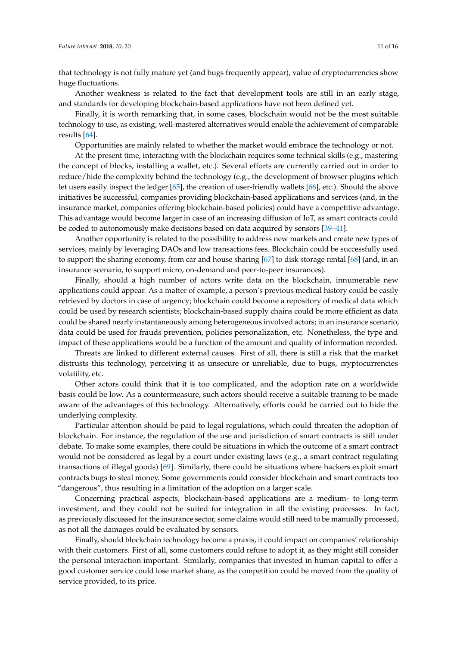that technology is not fully mature yet (and bugs frequently appear), value of cryptocurrencies show huge fluctuations.

Another weakness is related to the fact that development tools are still in an early stage, and standards for developing blockchain-based applications have not been defined yet.

Finally, it is worth remarking that, in some cases, blockchain would not be the most suitable technology to use, as existing, well-mastered alternatives would enable the achievement of comparable results [\[64\]](#page-15-7).

Opportunities are mainly related to whether the market would embrace the technology or not.

At the present time, interacting with the blockchain requires some technical skills (e.g., mastering the concept of blocks, installing a wallet, etc.). Several efforts are currently carried out in order to reduce/hide the complexity behind the technology (e.g., the development of browser plugins which let users easily inspect the ledger [\[65\]](#page-15-8), the creation of user-friendly wallets [\[66\]](#page-15-9), etc.). Should the above initiatives be successful, companies providing blockchain-based applications and services (and, in the insurance market, companies offering blockchain-based policies) could have a competitive advantage. This advantage would become larger in case of an increasing diffusion of IoT, as smart contracts could be coded to autonomously make decisions based on data acquired by sensors [\[39](#page-14-11)[–41\]](#page-14-12).

Another opportunity is related to the possibility to address new markets and create new types of services, mainly by leveraging DAOs and low transactions fees. Blockchain could be successfully used to support the sharing economy, from car and house sharing [\[67\]](#page-15-10) to disk storage rental [\[68\]](#page-15-11) (and, in an insurance scenario, to support micro, on-demand and peer-to-peer insurances).

Finally, should a high number of actors write data on the blockchain, innumerable new applications could appear. As a matter of example, a person's previous medical history could be easily retrieved by doctors in case of urgency; blockchain could become a repository of medical data which could be used by research scientists; blockchain-based supply chains could be more efficient as data could be shared nearly instantaneously among heterogeneous involved actors; in an insurance scenario, data could be used for frauds prevention, policies personalization, etc. Nonetheless, the type and impact of these applications would be a function of the amount and quality of information recorded.

Threats are linked to different external causes. First of all, there is still a risk that the market distrusts this technology, perceiving it as unsecure or unreliable, due to bugs, cryptocurrencies volatility, etc.

Other actors could think that it is too complicated, and the adoption rate on a worldwide basis could be low. As a countermeasure, such actors should receive a suitable training to be made aware of the advantages of this technology. Alternatively, efforts could be carried out to hide the underlying complexity.

Particular attention should be paid to legal regulations, which could threaten the adoption of blockchain. For instance, the regulation of the use and jurisdiction of smart contracts is still under debate. To make some examples, there could be situations in which the outcome of a smart contract would not be considered as legal by a court under existing laws (e.g., a smart contract regulating transactions of illegal goods) [\[69\]](#page-15-12). Similarly, there could be situations where hackers exploit smart contracts bugs to steal money. Some governments could consider blockchain and smart contracts too "dangerous", thus resulting in a limitation of the adoption on a larger scale.

Concerning practical aspects, blockchain-based applications are a medium- to long-term investment, and they could not be suited for integration in all the existing processes. In fact, as previously discussed for the insurance sector, some claims would still need to be manually processed, as not all the damages could be evaluated by sensors.

Finally, should blockchain technology become a praxis, it could impact on companies' relationship with their customers. First of all, some customers could refuse to adopt it, as they might still consider the personal interaction important. Similarly, companies that invested in human capital to offer a good customer service could lose market share, as the competition could be moved from the quality of service provided, to its price.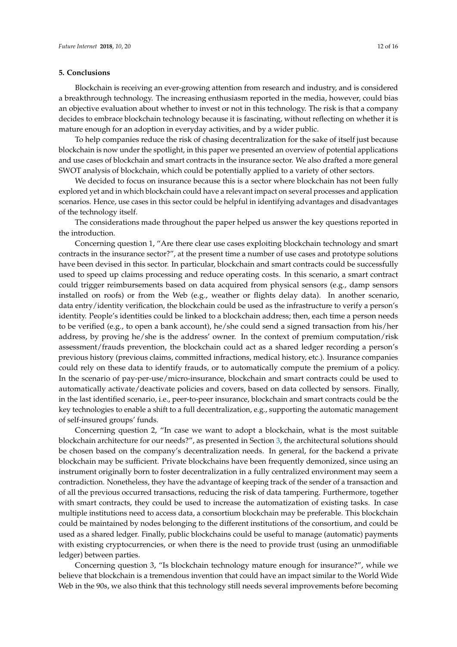## <span id="page-11-0"></span>**5. Conclusions**

Blockchain is receiving an ever-growing attention from research and industry, and is considered a breakthrough technology. The increasing enthusiasm reported in the media, however, could bias an objective evaluation about whether to invest or not in this technology. The risk is that a company decides to embrace blockchain technology because it is fascinating, without reflecting on whether it is mature enough for an adoption in everyday activities, and by a wider public.

To help companies reduce the risk of chasing decentralization for the sake of itself just because blockchain is now under the spotlight, in this paper we presented an overview of potential applications and use cases of blockchain and smart contracts in the insurance sector. We also drafted a more general SWOT analysis of blockchain, which could be potentially applied to a variety of other sectors.

We decided to focus on insurance because this is a sector where blockchain has not been fully explored yet and in which blockchain could have a relevant impact on several processes and application scenarios. Hence, use cases in this sector could be helpful in identifying advantages and disadvantages of the technology itself.

The considerations made throughout the paper helped us answer the key questions reported in the introduction.

Concerning question 1, "Are there clear use cases exploiting blockchain technology and smart contracts in the insurance sector?", at the present time a number of use cases and prototype solutions have been devised in this sector. In particular, blockchain and smart contracts could be successfully used to speed up claims processing and reduce operating costs. In this scenario, a smart contract could trigger reimbursements based on data acquired from physical sensors (e.g., damp sensors installed on roofs) or from the Web (e.g., weather or flights delay data). In another scenario, data entry/identity verification, the blockchain could be used as the infrastructure to verify a person's identity. People's identities could be linked to a blockchain address; then, each time a person needs to be verified (e.g., to open a bank account), he/she could send a signed transaction from his/her address, by proving he/she is the address' owner. In the context of premium computation/risk assessment/frauds prevention, the blockchain could act as a shared ledger recording a person's previous history (previous claims, committed infractions, medical history, etc.). Insurance companies could rely on these data to identify frauds, or to automatically compute the premium of a policy. In the scenario of pay-per-use/micro-insurance, blockchain and smart contracts could be used to automatically activate/deactivate policies and covers, based on data collected by sensors. Finally, in the last identified scenario, i.e., peer-to-peer insurance, blockchain and smart contracts could be the key technologies to enable a shift to a full decentralization, e.g., supporting the automatic management of self-insured groups' funds.

Concerning question 2, "In case we want to adopt a blockchain, what is the most suitable blockchain architecture for our needs?", as presented in Section [3,](#page-5-0) the architectural solutions should be chosen based on the company's decentralization needs. In general, for the backend a private blockchain may be sufficient. Private blockchains have been frequently demonized, since using an instrument originally born to foster decentralization in a fully centralized environment may seem a contradiction. Nonetheless, they have the advantage of keeping track of the sender of a transaction and of all the previous occurred transactions, reducing the risk of data tampering. Furthermore, together with smart contracts, they could be used to increase the automatization of existing tasks. In case multiple institutions need to access data, a consortium blockchain may be preferable. This blockchain could be maintained by nodes belonging to the different institutions of the consortium, and could be used as a shared ledger. Finally, public blockchains could be useful to manage (automatic) payments with existing cryptocurrencies, or when there is the need to provide trust (using an unmodifiable ledger) between parties.

Concerning question 3, "Is blockchain technology mature enough for insurance?", while we believe that blockchain is a tremendous invention that could have an impact similar to the World Wide Web in the 90s, we also think that this technology still needs several improvements before becoming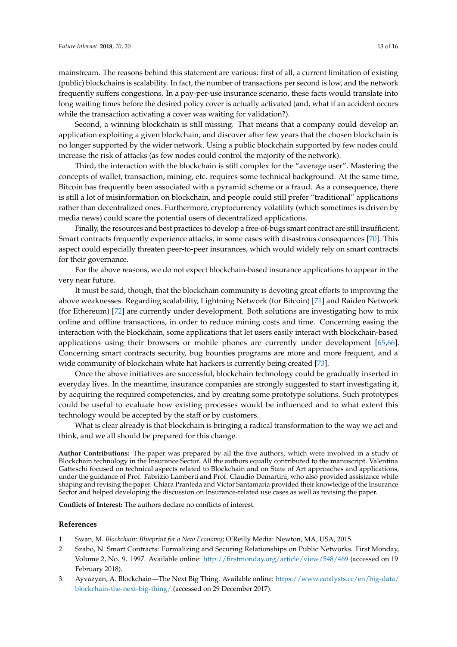mainstream. The reasons behind this statement are various: first of all, a current limitation of existing (public) blockchains is scalability. In fact, the number of transactions per second is low, and the network frequently suffers congestions. In a pay-per-use insurance scenario, these facts would translate into long waiting times before the desired policy cover is actually activated (and, what if an accident occurs while the transaction activating a cover was waiting for validation?).

Second, a winning blockchain is still missing. That means that a company could develop an application exploiting a given blockchain, and discover after few years that the chosen blockchain is no longer supported by the wider network. Using a public blockchain supported by few nodes could increase the risk of attacks (as few nodes could control the majority of the network).

Third, the interaction with the blockchain is still complex for the "average user". Mastering the concepts of wallet, transaction, mining, etc. requires some technical background. At the same time, Bitcoin has frequently been associated with a pyramid scheme or a fraud. As a consequence, there is still a lot of misinformation on blockchain, and people could still prefer "traditional" applications rather than decentralized ones. Furthermore, cryptocurrency volatility (which sometimes is driven by media news) could scare the potential users of decentralized applications.

Finally, the resources and best practices to develop a free-of-bugs smart contract are still insufficient. Smart contracts frequently experience attacks, in some cases with disastrous consequences [\[70\]](#page-15-13). This aspect could especially threaten peer-to-peer insurances, which would widely rely on smart contracts for their governance.

For the above reasons, we do not expect blockchain-based insurance applications to appear in the very near future.

It must be said, though, that the blockchain community is devoting great efforts to improving the above weaknesses. Regarding scalability, Lightning Network (for Bitcoin) [\[71\]](#page-15-14) and Raiden Network (for Ethereum) [\[72\]](#page-15-15) are currently under development. Both solutions are investigating how to mix online and offline transactions, in order to reduce mining costs and time. Concerning easing the interaction with the blockchain, some applications that let users easily interact with blockchain-based applications using their browsers or mobile phones are currently under development [\[65,](#page-15-8)[66\]](#page-15-9). Concerning smart contracts security, bug bounties programs are more and more frequent, and a wide community of blockchain white hat hackers is currently being created [\[73\]](#page-15-16).

Once the above initiatives are successful, blockchain technology could be gradually inserted in everyday lives. In the meantime, insurance companies are strongly suggested to start investigating it, by acquiring the required competencies, and by creating some prototype solutions. Such prototypes could be useful to evaluate how existing processes would be influenced and to what extent this technology would be accepted by the staff or by customers.

What is clear already is that blockchain is bringing a radical transformation to the way we act and think, and we all should be prepared for this change.

**Author Contributions:** The paper was prepared by all the five authors, which were involved in a study of Blockchain technology in the Insurance Sector. All the authors equally contributed to the manuscript. Valentina Gatteschi focused on technical aspects related to Blockchain and on State of Art approaches and applications, under the guidance of Prof. Fabrizio Lamberti and Prof. Claudio Demartini, who also provided assistance while shaping and revising the paper. Chiara Pranteda and Víctor Santamaría provided their knowledge of the Insurance Sector and helped developing the discussion on Insurance-related use cases as well as revising the paper.

**Conflicts of Interest:** The authors declare no conflicts of interest.

# **References**

- <span id="page-12-0"></span>1. Swan, M. *Blockchain: Blueprint for a New Economy*; O'Reilly Media: Newton, MA, USA, 2015.
- <span id="page-12-1"></span>2. Szabo, N. Smart Contracts: Formalizing and Securing Relationships on Public Networks. First Monday, Volume 2, No. 9. 1997. Available online: <http://firstmonday.org/article/view/548/469> (accessed on 19 February 2018).
- <span id="page-12-2"></span>3. Ayvazyan, A. Blockchain—The Next Big Thing. Available online: [https://www.catalysts.cc/en/big-data/](https://www.catalysts.cc/en/big-data/blockchain-the-next-big-thing/) [blockchain-the-next-big-thing/](https://www.catalysts.cc/en/big-data/blockchain-the-next-big-thing/) (accessed on 29 December 2017).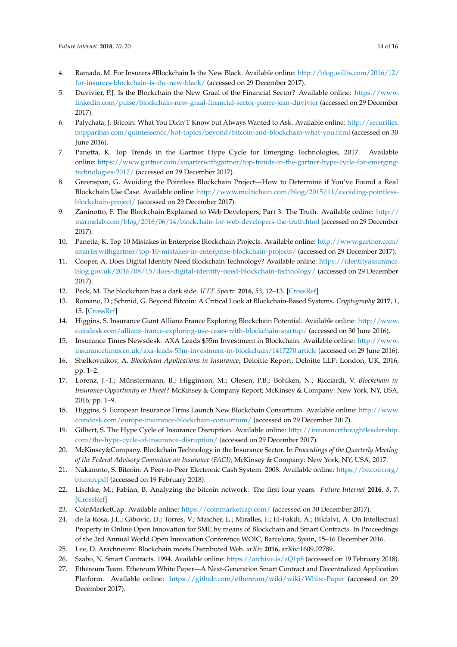- <span id="page-13-0"></span>4. Ramada, M. For Insurers #Blockchain Is the New Black. Available online: [http://blog.willis.com/2016/12/](http://blog.willis.com/2016/12/for-insurers-blockchain-is-the-new-black/) [for-insurers-blockchain-is-the-new-black/](http://blog.willis.com/2016/12/for-insurers-blockchain-is-the-new-black/) (accessed on 29 December 2017).
- <span id="page-13-1"></span>5. Duvivier, P.J. Is the Blockchain the New Graal of the Financial Sector? Available online: [https://www.](https://www.linkedin.com/pulse/blockchain-new-graal-financial-sector-pierre-jean-duvivier) [linkedin.com/pulse/blockchain-new-graal-financial-sector-pierre-jean-duvivier](https://www.linkedin.com/pulse/blockchain-new-graal-financial-sector-pierre-jean-duvivier) (accessed on 29 December 2017).
- <span id="page-13-2"></span>6. Palychata, J. Bitcoin: What You Didn'T Know but Always Wanted to Ask. Available online: [http://securities.](http://securities.bnpparibas.com/quintessence/hot-topics/beyond/bitcoin-and-blockchain-what-you.html) [bnpparibas.com/quintessence/hot-topics/beyond/bitcoin-and-blockchain-what-you.html](http://securities.bnpparibas.com/quintessence/hot-topics/beyond/bitcoin-and-blockchain-what-you.html) (accessed on 30 June 2016).
- <span id="page-13-3"></span>7. Panetta, K. Top Trends in the Gartner Hype Cycle for Emerging Technologies, 2017. Available online: [https://www.gartner.com/smarterwithgartner/top-trends-in-the-gartner-hype-cycle-for-emerging](https://www.gartner.com/smarterwithgartner/top-trends-in-the-gartner-hype-cycle-for-emerging-technologies-2017/)[technologies-2017/](https://www.gartner.com/smarterwithgartner/top-trends-in-the-gartner-hype-cycle-for-emerging-technologies-2017/) (accessed on 29 December 2017).
- <span id="page-13-4"></span>8. Greenspan, G. Avoiding the Pointless Blockchain Project—How to Determine if You've Found a Real Blockchain Use Case. Available online: [http://www.multichain.com/blog/2015/11/avoiding-pointless](http://www.multichain.com/blog/2015/11/avoiding-pointless-blockchain-project/)[blockchain-project/](http://www.multichain.com/blog/2015/11/avoiding-pointless-blockchain-project/) (accessed on 29 December 2017).
- <span id="page-13-6"></span>9. Zaninotto, F. The Blockchain Explained to Web Developers, Part 3: The Truth. Available online: [http://](http://marmelab.com/blog/2016/06/14/blockchain-for-web-developers-the-truth.html) [marmelab.com/blog/2016/06/14/blockchain-for-web-developers-the-truth.html](http://marmelab.com/blog/2016/06/14/blockchain-for-web-developers-the-truth.html) (accessed on 29 December 2017).
- <span id="page-13-7"></span>10. Panetta, K. Top 10 Mistakes in Enterprise Blockchain Projects. Available online: [http://www.gartner.com/](http://www.gartner.com/smarterwithgartner/top-10-mistakes-in-enterprise-blockchain-projects/) [smarterwithgartner/top-10-mistakes-in-enterprise-blockchain-projects/](http://www.gartner.com/smarterwithgartner/top-10-mistakes-in-enterprise-blockchain-projects/) (accessed on 29 December 2017).
- <span id="page-13-8"></span>11. Cooper, A. Does Digital Identity Need Blockchain Technology? Available online: [https://identityassurance.](https://identityassurance.blog.gov.uk/2016/08/15/does-digital-identity-need-blockchain-technology/) [blog.gov.uk/2016/08/15/does-digital-identity-need-blockchain-technology/](https://identityassurance.blog.gov.uk/2016/08/15/does-digital-identity-need-blockchain-technology/) (accessed on 29 December 2017).
- 12. Peck, M. The blockchain has a dark side. *IEEE Spectr.* **2016**, *53*, 12–13. [\[CrossRef\]](http://dx.doi.org/10.1109/MSPEC.2016.7473136)
- <span id="page-13-5"></span>13. Romano, D.; Schmid, G. Beyond Bitcoin: A Critical Look at Blockchain-Based Systems. *Cryptography* **2017**, *1*, 15. [\[CrossRef\]](http://dx.doi.org/10.3390/cryptography1020015)
- <span id="page-13-9"></span>14. Higgins, S. Insurance Giant Allianz France Exploring Blockchain Potential. Available online: [http://www.](http://www.coindesk.com/allianz-france-exploring-use-cases-with-blockchain-startup/) [coindesk.com/allianz-france-exploring-use-cases-with-blockchain-startup/](http://www.coindesk.com/allianz-france-exploring-use-cases-with-blockchain-startup/) (accessed on 30 June 2016).
- <span id="page-13-10"></span>15. Insurance Times Newsdesk. AXA Leads \$55m Investment in Blockchain. Available online: [http://www.](http://www.insurancetimes.co.uk/axa-leads-55m-investment-in-blockchain/1417270.article) [insurancetimes.co.uk/axa-leads-55m-investment-in-blockchain/1417270.article](http://www.insurancetimes.co.uk/axa-leads-55m-investment-in-blockchain/1417270.article) (accessed on 29 June 2016).
- <span id="page-13-11"></span>16. Shelkovnikov, A. *Blockchain Applications in Insurance*; Deloitte Report; Deloitte LLP: London, UK, 2016; pp. 1–2.
- <span id="page-13-12"></span>17. Lorenz, J.-T.; Münstermann, B.; Higginson, M.; Olesen, P.B.; Bohlken, N.; Ricciardi, V. *Blockchain in Insurance-Opportunity or Threat?* McKinsey & Company Report; McKinsey & Company: New York, NY, USA, 2016; pp. 1–9.
- <span id="page-13-13"></span>18. Higgins, S. European Insurance Firms Launch New Blockchain Consortium. Available online: [http://www.](http://www.coindesk.com/europe-insurance-blockchain-consortium/) [coindesk.com/europe-insurance-blockchain-consortium/](http://www.coindesk.com/europe-insurance-blockchain-consortium/) (accessed on 29 December 2017).
- <span id="page-13-14"></span>19. Gilbert, S. The Hype Cycle of Insurance Disruption. Available online: [http://insurancethoughtleadership.](http://insurancethoughtleadership.com/the-hype-cycle-of-insurance-disruption/) [com/the-hype-cycle-of-insurance-disruption/](http://insurancethoughtleadership.com/the-hype-cycle-of-insurance-disruption/) (accessed on 29 December 2017).
- <span id="page-13-15"></span>20. McKinsey&Company. Blockchain Technology in the Insurance Sector. In *Proceedings of the Quarterly Meeting of the Federal Advisory Committee on Insurance (FACI)*; McKinsey & Company: New York, NY, USA, 2017.
- <span id="page-13-16"></span>21. Nakamoto, S. Bitcoin: A Peer-to-Peer Electronic Cash System. 2008. Available online: [https://bitcoin.org/](https://bitcoin.org/bitcoin.pdf) [bitcoin.pdf](https://bitcoin.org/bitcoin.pdf) (accessed on 19 February 2018).
- <span id="page-13-17"></span>22. Lischke, M.; Fabian, B. Analyzing the bitcoin network: The first four years. *Future Internet* **2016**, *8*, 7. [\[CrossRef\]](http://dx.doi.org/10.3390/fi8010007)
- <span id="page-13-18"></span>23. CoinMarketCap. Available online: <https://coinmarketcap.com/> (accessed on 30 December 2017).
- <span id="page-13-19"></span>24. de la Rosa, J.L.; Gibovic, D.; Torres, V.; Maicher, L.; Miralles, F.; El-Fakdi, A.; Bikfalvi, A. On Intellectual Property in Online Open Innovation for SME by means of Blockchain and Smart Contracts. In Proceedings of the 3rd Annual World Open Innovation Conference WOIC, Barcelona, Spain, 15–16 December 2016.
- <span id="page-13-20"></span>25. Lee, D. Arachneum: Blockchain meets Distributed Web. *arXiv* **2016**, arXiv:1609.02789.
- <span id="page-13-21"></span>26. Szabo, N. Smart Contracts. 1994. Available online: <https://archive.is/zQ1p8> (accessed on 19 February 2018).
- <span id="page-13-22"></span>27. Ethereum Team. Ethereum White Paper—A Next-Generation Smart Contract and Decentralized Application Platform. Available online: <https://github.com/ethereum/wiki/wiki/White-Paper> (accessed on 29 December 2017).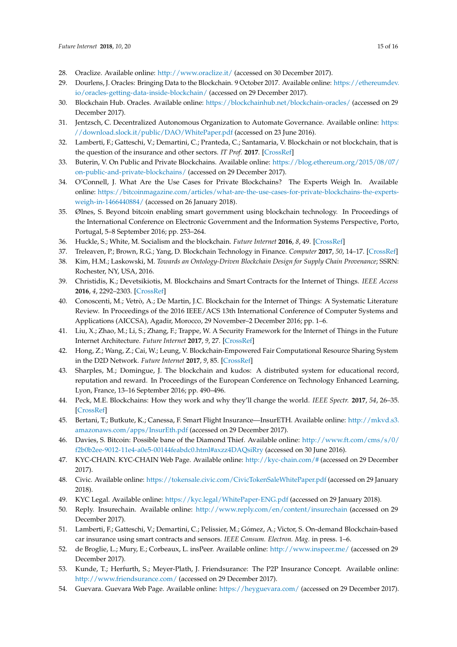- <span id="page-14-0"></span>28. Oraclize. Available online: <http://www.oraclize.it/> (accessed on 30 December 2017).
- <span id="page-14-1"></span>29. Dourlens, J. Oracles: Bringing Data to the Blockchain. 9 October 2017. Available online: [https://ethereumdev.](https://ethereumdev.io/oracles-getting-data-inside-blockchain/) [io/oracles-getting-data-inside-blockchain/](https://ethereumdev.io/oracles-getting-data-inside-blockchain/) (accessed on 29 December 2017).
- <span id="page-14-2"></span>30. Blockchain Hub. Oracles. Available online: <https://blockchainhub.net/blockchain-oracles/> (accessed on 29 December 2017).
- <span id="page-14-3"></span>31. Jentzsch, C. Decentralized Autonomous Organization to Automate Governance. Available online: [https:](https://download. slock. it/public/DAO/WhitePaper. pdf) [//download.slock.it/public/DAO/WhitePaper.pdf](https://download. slock. it/public/DAO/WhitePaper. pdf) (accessed on 23 June 2016).
- <span id="page-14-4"></span>32. Lamberti, F.; Gatteschi, V.; Demartini, C.; Pranteda, C.; Santamaria, V. Blockchain or not blockchain, that is the question of the insurance and other sectors. *IT Prof.* **2017**. [\[CrossRef\]](http://dx.doi.org/10.1109/MITP.2017.265110355)
- <span id="page-14-5"></span>33. Buterin, V. On Public and Private Blockchains. Available online: [https://blog.ethereum.org/2015/08/07/](https://blog.ethereum.org/2015/08/07/on-public-and-private-blockchains/) [on-public-and-private-blockchains/](https://blog.ethereum.org/2015/08/07/on-public-and-private-blockchains/) (accessed on 29 December 2017).
- <span id="page-14-6"></span>34. O'Connell, J. What Are the Use Cases for Private Blockchains? The Experts Weigh In. Available online: [https://bitcoinmagazine.com/articles/what-are-the-use-cases-for-private-blockchains-the-experts](https://bitcoinmagazine.com/articles/what-are-the-use-cases-for-private-blockchains-the-experts-weigh-in-1466440884/)[weigh-in-1466440884/](https://bitcoinmagazine.com/articles/what-are-the-use-cases-for-private-blockchains-the-experts-weigh-in-1466440884/) (accessed on 26 January 2018).
- <span id="page-14-7"></span>35. Ølnes, S. Beyond bitcoin enabling smart government using blockchain technology. In Proceedings of the International Conference on Electronic Government and the Information Systems Perspective, Porto, Portugal, 5–8 September 2016; pp. 253–264.
- <span id="page-14-8"></span>36. Huckle, S.; White, M. Socialism and the blockchain. *Future Internet* **2016**, *8*, 49. [\[CrossRef\]](http://dx.doi.org/10.3390/fi8040049)
- <span id="page-14-10"></span><span id="page-14-9"></span>37. Treleaven, P.; Brown, R.G.; Yang, D. Blockchain Technology in Finance. *Computer* **2017**, *50*, 14–17. [\[CrossRef\]](http://dx.doi.org/10.1109/MC.2017.3571047)
- 38. Kim, H.M.; Laskowski, M. *Towards an Ontology-Driven Blockchain Design for Supply Chain Provenance*; SSRN: Rochester, NY, USA, 2016.
- <span id="page-14-11"></span>39. Christidis, K.; Devetsikiotis, M. Blockchains and Smart Contracts for the Internet of Things. *IEEE Access* **2016**, *4*, 2292–2303. [\[CrossRef\]](http://dx.doi.org/10.1109/ACCESS.2016.2566339)
- 40. Conoscenti, M.; Vetrò, A.; De Martin, J.C. Blockchain for the Internet of Things: A Systematic Literature Review. In Proceedings of the 2016 IEEE/ACS 13th International Conference of Computer Systems and Applications (AICCSA), Agadir, Morocco, 29 November–2 December 2016; pp. 1–6.
- <span id="page-14-12"></span>41. Liu, X.; Zhao, M.; Li, S.; Zhang, F.; Trappe, W. A Security Framework for the Internet of Things in the Future Internet Architecture. *Future Internet* **2017**, *9*, 27. [\[CrossRef\]](http://dx.doi.org/10.3390/fi9030027)
- <span id="page-14-13"></span>42. Hong, Z.; Wang, Z.; Cai, W.; Leung, V. Blockchain-Empowered Fair Computational Resource Sharing System in the D2D Network. *Future Internet* **2017**, *9*, 85. [\[CrossRef\]](http://dx.doi.org/10.3390/fi9040085)
- <span id="page-14-14"></span>43. Sharples, M.; Domingue, J. The blockchain and kudos: A distributed system for educational record, reputation and reward. In Proceedings of the European Conference on Technology Enhanced Learning, Lyon, France, 13–16 September 2016; pp. 490–496.
- <span id="page-14-15"></span>44. Peck, M.E. Blockchains: How they work and why they'll change the world. *IEEE Spectr.* **2017**, *54*, 26–35. [\[CrossRef\]](http://dx.doi.org/10.1109/MSPEC.2017.8048836)
- <span id="page-14-16"></span>45. Bertani, T.; Butkute, K.; Canessa, F. Smart Flight Insurance—InsurETH. Available online: [http://mkvd.s3.](http://mkvd.s3.amazonaws.com/apps/InsurEth.pdf) [amazonaws.com/apps/InsurEth.pdf](http://mkvd.s3.amazonaws.com/apps/InsurEth.pdf) (accessed on 29 December 2017).
- <span id="page-14-17"></span>46. Davies, S. Bitcoin: Possible bane of the Diamond Thief. Available online: [http://www.ft.com/cms/s/0/](http://www.ft.com/cms/s/0/f2b0b2ee-9012-11e4-a0e5-00144feabdc0.html#axzz4DAQsiRry) [f2b0b2ee-9012-11e4-a0e5-00144feabdc0.html#axzz4DAQsiRry](http://www.ft.com/cms/s/0/f2b0b2ee-9012-11e4-a0e5-00144feabdc0.html#axzz4DAQsiRry) (accessed on 30 June 2016).
- <span id="page-14-18"></span>47. KYC-CHAIN. KYC-CHAIN Web Page. Available online: <http://kyc-chain.com/#> (accessed on 29 December 2017).
- <span id="page-14-19"></span>48. Civic. Available online: <https://tokensale.civic.com/CivicTokenSaleWhitePaper.pdf> (accessed on 29 January 2018).
- <span id="page-14-20"></span>49. KYC Legal. Available online: <https://kyc.legal/WhitePaper-ENG.pdf> (accessed on 29 January 2018).
- <span id="page-14-21"></span>50. Reply. Insurechain. Available online: <http://www.reply.com/en/content/insurechain> (accessed on 29 December 2017).
- <span id="page-14-22"></span>51. Lamberti, F.; Gatteschi, V.; Demartini, C.; Pelissier, M.; Gómez, A.; Victor, S. On-demand Blockchain-based car insurance using smart contracts and sensors. *IEEE Consum. Electron. Mag.* in press. 1–6.
- <span id="page-14-23"></span>52. de Broglie, L.; Mury, E.; Corbeaux, L. insPeer. Available online: <http://www.inspeer.me/> (accessed on 29 December 2017).
- 53. Kunde, T.; Herfurth, S.; Meyer-Plath, J. Friendsurance: The P2P Insurance Concept. Available online: <http://www.friendsurance.com/> (accessed on 29 December 2017).
- <span id="page-14-24"></span>54. Guevara. Guevara Web Page. Available online: <https://heyguevara.com/> (accessed on 29 December 2017).